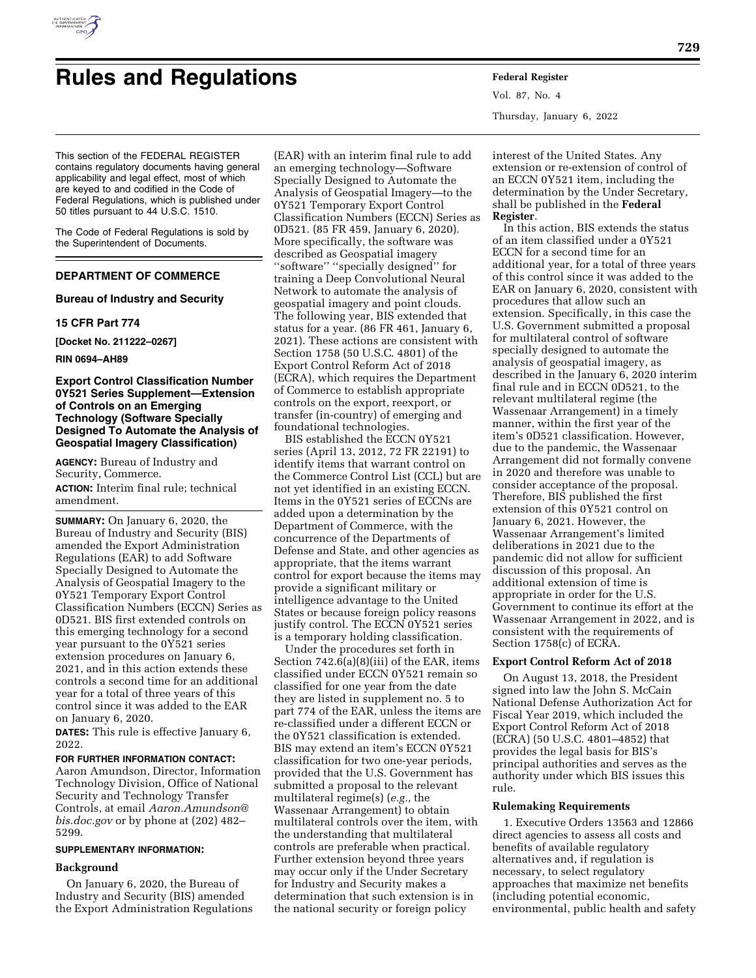

# **Rules and Regulations Federal Register**

This section of the FEDERAL REGISTER contains regulatory documents having general applicability and legal effect, most of which are keyed to and codified in the Code of Federal Regulations, which is published under 50 titles pursuant to 44 U.S.C. 1510.

The Code of Federal Regulations is sold by the Superintendent of Documents.

## **DEPARTMENT OF COMMERCE**

## **Bureau of Industry and Security**

#### **15 CFR Part 774**

**[Docket No. 211222–0267]** 

## **RIN 0694–AH89**

## **Export Control Classification Number 0Y521 Series Supplement—Extension of Controls on an Emerging Technology (Software Specially Designed To Automate the Analysis of Geospatial Imagery Classification)**

**AGENCY:** Bureau of Industry and Security, Commerce. **ACTION:** Interim final rule; technical amendment.

**SUMMARY:** On January 6, 2020, the Bureau of Industry and Security (BIS) amended the Export Administration Regulations (EAR) to add Software Specially Designed to Automate the Analysis of Geospatial Imagery to the 0Y521 Temporary Export Control Classification Numbers (ECCN) Series as 0D521. BIS first extended controls on this emerging technology for a second year pursuant to the 0Y521 series extension procedures on January 6, 2021, and in this action extends these controls a second time for an additional year for a total of three years of this control since it was added to the EAR on January 6, 2020.

**DATES:** This rule is effective January 6, 2022.

## **FOR FURTHER INFORMATION CONTACT:**

Aaron Amundson, Director, Information Technology Division, Office of National Security and Technology Transfer Controls, at email *[Aaron.Amundson@](mailto:Aaron.Amundson@bis.doc.gov) [bis.doc.gov](mailto:Aaron.Amundson@bis.doc.gov)* or by phone at (202) 482– 5299.

#### **SUPPLEMENTARY INFORMATION:**

## **Background**

On January 6, 2020, the Bureau of Industry and Security (BIS) amended the Export Administration Regulations

(EAR) with an interim final rule to add an emerging technology—Software Specially Designed to Automate the Analysis of Geospatial Imagery—to the 0Y521 Temporary Export Control Classification Numbers (ECCN) Series as 0D521. (85 FR 459, January 6, 2020). More specifically, the software was described as Geospatial imagery ''software'' ''specially designed'' for training a Deep Convolutional Neural Network to automate the analysis of geospatial imagery and point clouds. The following year, BIS extended that status for a year. (86 FR 461, January 6, 2021). These actions are consistent with Section 1758 (50 U.S.C. 4801) of the Export Control Reform Act of 2018 (ECRA), which requires the Department of Commerce to establish appropriate controls on the export, reexport, or transfer (in-country) of emerging and foundational technologies.

BIS established the ECCN 0Y521 series (April 13, 2012, 72 FR 22191) to identify items that warrant control on the Commerce Control List (CCL) but are not yet identified in an existing ECCN. Items in the 0Y521 series of ECCNs are added upon a determination by the Department of Commerce, with the concurrence of the Departments of Defense and State, and other agencies as appropriate, that the items warrant control for export because the items may provide a significant military or intelligence advantage to the United States or because foreign policy reasons justify control. The ECCN 0Y521 series is a temporary holding classification.

Under the procedures set forth in Section 742.6(a)(8)(iii) of the EAR, items classified under ECCN 0Y521 remain so classified for one year from the date they are listed in supplement no. 5 to part 774 of the EAR, unless the items are re-classified under a different ECCN or the 0Y521 classification is extended. BIS may extend an item's ECCN 0Y521 classification for two one-year periods, provided that the U.S. Government has submitted a proposal to the relevant multilateral regime(s) (*e.g.,* the Wassenaar Arrangement) to obtain multilateral controls over the item, with the understanding that multilateral controls are preferable when practical. Further extension beyond three years may occur only if the Under Secretary for Industry and Security makes a determination that such extension is in the national security or foreign policy

Vol. 87, No. 4 Thursday, January 6, 2022

interest of the United States. Any extension or re-extension of control of an ECCN 0Y521 item, including the determination by the Under Secretary, shall be published in the **Federal Register**.

In this action, BIS extends the status of an item classified under a 0Y521 ECCN for a second time for an additional year, for a total of three years of this control since it was added to the EAR on January 6, 2020, consistent with procedures that allow such an extension. Specifically, in this case the U.S. Government submitted a proposal for multilateral control of software specially designed to automate the analysis of geospatial imagery, as described in the January 6, 2020 interim final rule and in ECCN 0D521, to the relevant multilateral regime (the Wassenaar Arrangement) in a timely manner, within the first year of the item's 0D521 classification. However, due to the pandemic, the Wassenaar Arrangement did not formally convene in 2020 and therefore was unable to consider acceptance of the proposal. Therefore, BIS published the first extension of this 0Y521 control on January 6, 2021. However, the Wassenaar Arrangement's limited deliberations in 2021 due to the pandemic did not allow for sufficient discussion of this proposal. An additional extension of time is appropriate in order for the U.S. Government to continue its effort at the Wassenaar Arrangement in 2022, and is consistent with the requirements of Section 1758(c) of ECRA.

#### **Export Control Reform Act of 2018**

On August 13, 2018, the President signed into law the John S. McCain National Defense Authorization Act for Fiscal Year 2019, which included the Export Control Reform Act of 2018 (ECRA) (50 U.S.C. 4801–4852) that provides the legal basis for BIS's principal authorities and serves as the authority under which BIS issues this rule.

## **Rulemaking Requirements**

1. Executive Orders 13563 and 12866 direct agencies to assess all costs and benefits of available regulatory alternatives and, if regulation is necessary, to select regulatory approaches that maximize net benefits (including potential economic, environmental, public health and safety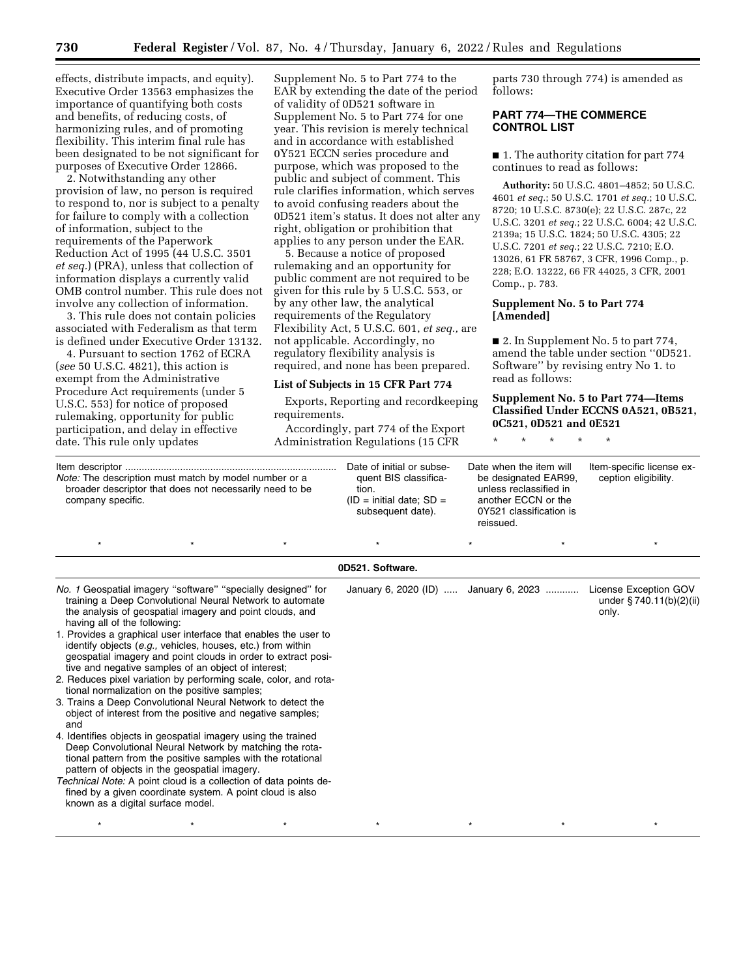effects, distribute impacts, and equity). Executive Order 13563 emphasizes the importance of quantifying both costs and benefits, of reducing costs, of harmonizing rules, and of promoting flexibility. This interim final rule has been designated to be not significant for purposes of Executive Order 12866.

2. Notwithstanding any other provision of law, no person is required to respond to, nor is subject to a penalty for failure to comply with a collection of information, subject to the requirements of the Paperwork Reduction Act of 1995 (44 U.S.C. 3501 *et seq.*) (PRA), unless that collection of information displays a currently valid OMB control number. This rule does not involve any collection of information.

3. This rule does not contain policies associated with Federalism as that term is defined under Executive Order 13132.

4. Pursuant to section 1762 of ECRA (*see* 50 U.S.C. 4821), this action is exempt from the Administrative Procedure Act requirements (under 5 U.S.C. 553) for notice of proposed rulemaking, opportunity for public participation, and delay in effective date. This rule only updates

Supplement No. 5 to Part 774 to the EAR by extending the date of the period of validity of 0D521 software in Supplement No. 5 to Part 774 for one year. This revision is merely technical and in accordance with established 0Y521 ECCN series procedure and purpose, which was proposed to the public and subject of comment. This rule clarifies information, which serves to avoid confusing readers about the 0D521 item's status. It does not alter any right, obligation or prohibition that applies to any person under the EAR.

5. Because a notice of proposed rulemaking and an opportunity for public comment are not required to be given for this rule by 5 U.S.C. 553, or by any other law, the analytical requirements of the Regulatory Flexibility Act, 5 U.S.C. 601, *et seq.,* are not applicable. Accordingly, no regulatory flexibility analysis is required, and none has been prepared.

#### **List of Subjects in 15 CFR Part 774**

Exports, Reporting and recordkeeping requirements.

Accordingly, part 774 of the Export Administration Regulations (15 CFR

parts 730 through 774) is amended as follows:

## **PART 774—THE COMMERCE CONTROL LIST**

■ 1. The authority citation for part 774 continues to read as follows:

**Authority:** 50 U.S.C. 4801–4852; 50 U.S.C. 4601 *et seq.*; 50 U.S.C. 1701 *et seq.*; 10 U.S.C. 8720; 10 U.S.C. 8730(e); 22 U.S.C. 287c, 22 U.S.C. 3201 *et seq.*; 22 U.S.C. 6004; 42 U.S.C. 2139a; 15 U.S.C. 1824; 50 U.S.C. 4305; 22 U.S.C. 7201 *et seq.*; 22 U.S.C. 7210; E.O. 13026, 61 FR 58767, 3 CFR, 1996 Comp., p. 228; E.O. 13222, 66 FR 44025, 3 CFR, 2001 Comp., p. 783.

## **Supplement No. 5 to Part 774 [Amended]**

■ 2. In Supplement No. 5 to part 774, amend the table under section ''0D521. Software'' by revising entry No 1. to read as follows:

## **Supplement No. 5 to Part 774—Items Classified Under ECCNS 0A521, 0B521, 0C521, 0D521 and 0E521**

\* \* \* \* \*

| Note: The description must match by model number or a<br>broader descriptor that does not necessarily need to be<br>company specific. |  |  | Date of initial or subse-<br>quent BIS classifica-<br>tion.<br>$ID = initial date$ ; SD =<br>subsequent date). | Date when the item will<br>be designated EAR99.<br>unless reclassified in<br>another ECCN or the<br>0Y521 classification is<br>reissued. |  | Item-specific license ex-<br>ception eligibility. |
|---------------------------------------------------------------------------------------------------------------------------------------|--|--|----------------------------------------------------------------------------------------------------------------|------------------------------------------------------------------------------------------------------------------------------------------|--|---------------------------------------------------|
|                                                                                                                                       |  |  |                                                                                                                |                                                                                                                                          |  |                                                   |

#### **0D521. Software.**

| <i>No.</i> 1 Geospatial imagery "software" "specially designed" for<br>training a Deep Convolutional Neural Network to automate<br>the analysis of geospatial imagery and point clouds, and<br>having all of the following:                            |  | January 6, 2020 (ID)  January 6, 2023 |  | License Exception GOV<br>under $\S 740.11(b)(2)(ii)$<br>only. |
|--------------------------------------------------------------------------------------------------------------------------------------------------------------------------------------------------------------------------------------------------------|--|---------------------------------------|--|---------------------------------------------------------------|
| 1. Provides a graphical user interface that enables the user to<br>identify objects (e.g., vehicles, houses, etc.) from within<br>geospatial imagery and point clouds in order to extract posi-<br>tive and negative samples of an object of interest; |  |                                       |  |                                                               |
| 2. Reduces pixel variation by performing scale, color, and rota-<br>tional normalization on the positive samples;                                                                                                                                      |  |                                       |  |                                                               |
| 3. Trains a Deep Convolutional Neural Network to detect the<br>object of interest from the positive and negative samples;<br>and                                                                                                                       |  |                                       |  |                                                               |
| 4. Identifies objects in geospatial imagery using the trained<br>Deep Convolutional Neural Network by matching the rota-<br>tional pattern from the positive samples with the rotational<br>pattern of objects in the geospatial imagery.              |  |                                       |  |                                                               |
| Technical Note: A point cloud is a collection of data points de-<br>fined by a given coordinate system. A point cloud is also<br>known as a digital surface model.                                                                                     |  |                                       |  |                                                               |
|                                                                                                                                                                                                                                                        |  |                                       |  |                                                               |